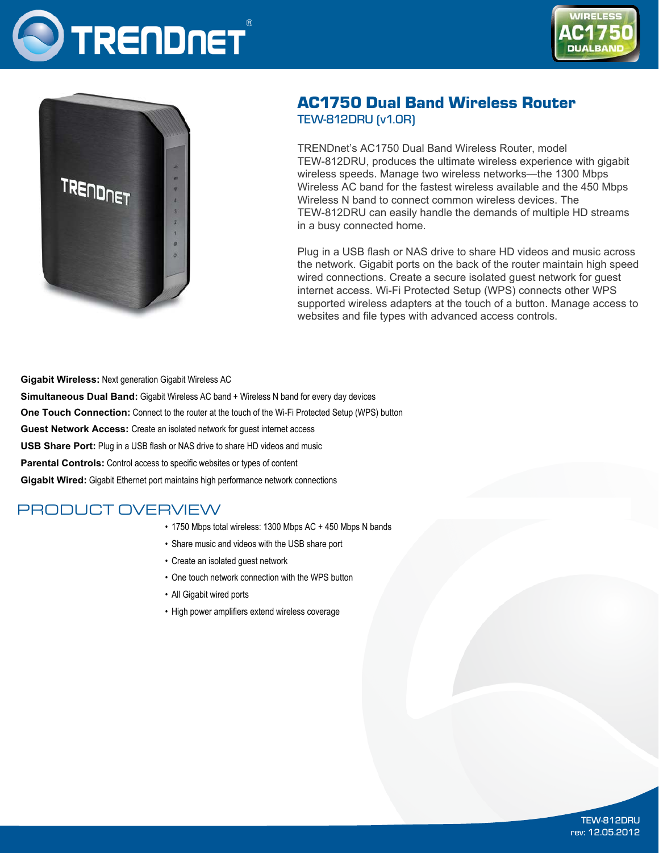





# AC1750 Dual Band Wireless Router TEW-812DRU (v1.0R)

TRENDnet's AC1750 Dual Band Wireless Router, model TEW-812DRU, produces the ultimate wireless experience with gigabit wireless speeds. Manage two wireless networks—the 1300 Mbps Wireless AC band for the fastest wireless available and the 450 Mbps Wireless N band to connect common wireless devices. The TEW-812DRU can easily handle the demands of multiple HD streams in a busy connected home.

Plug in a USB flash or NAS drive to share HD videos and music across the network. Gigabit ports on the back of the router maintain high speed wired connections. Create a secure isolated guest network for guest internet access. Wi-Fi Protected Setup (WPS) connects other WPS supported wireless adapters at the touch of a button. Manage access to websites and file types with advanced access controls.

**Gigabit Wireless:** Next generation Gigabit Wireless AC **Simultaneous Dual Band:** Gigabit Wireless AC band + Wireless N band for every day devices **One Touch Connection:** Connect to the router at the touch of the Wi-Fi Protected Setup (WPS) button **Guest Network Access:** Create an isolated network for guest internet access **USB Share Port:** Plug in a USB flash or NAS drive to share HD videos and music **Parental Controls:** Control access to specific websites or types of content **Gigabit Wired:** Gigabit Ethernet port maintains high performance network connections

## PRODUCT OVERVIEW

- 1750 Mbps total wireless: 1300 Mbps AC + 450 Mbps N bands
- • Share music and videos with the USB share port
- Create an isolated guest network
- One touch network connection with the WPS button
- All Gigabit wired ports
- High power amplifiers extend wireless coverage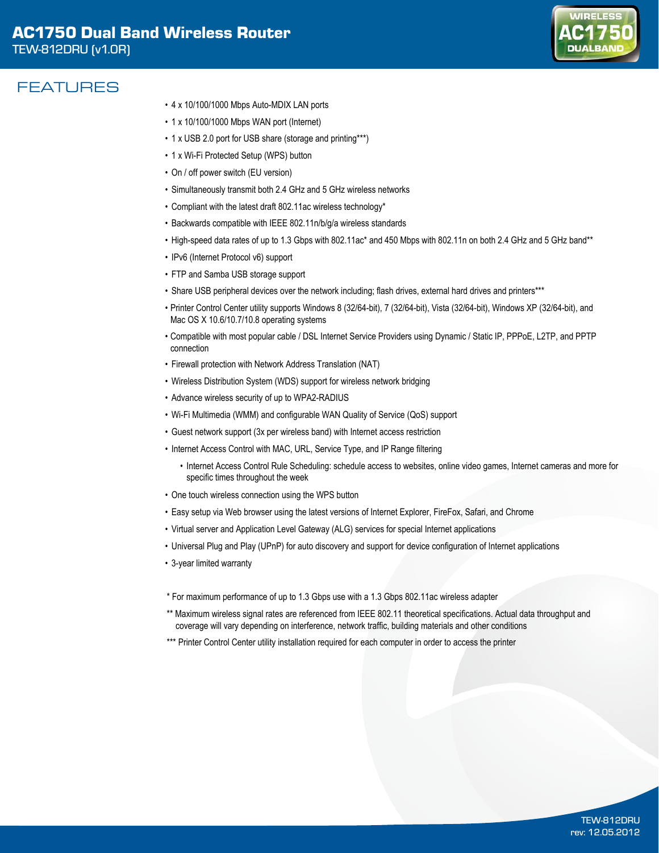

## FEATURES

- • 4 x 10/100/1000 Mbps Auto-MDIX LAN ports
- 1 x 10/100/1000 Mbps WAN port (Internet)
- 1 x USB 2.0 port for USB share (storage and printing\*\*\*)
- 1 x Wi-Fi Protected Setup (WPS) button
- On / off power switch (EU version)
- • Simultaneously transmit both 2.4 GHz and 5 GHz wireless networks
- Compliant with the latest draft 802.11ac wireless technology\*
- Backwards compatible with IEEE 802.11n/b/g/a wireless standards
- High-speed data rates of up to 1.3 Gbps with 802.11ac\* and 450 Mbps with 802.11n on both 2.4 GHz and 5 GHz band\*\*
- IPv6 (Internet Protocol v6) support
- FTP and Samba USB storage support
- Share USB peripheral devices over the network including; flash drives, external hard drives and printers\*\*\*
- • Printer Control Center utility supports Windows 8 (32/64-bit), 7 (32/64-bit), Vista (32/64-bit), Windows XP (32/64-bit), and Mac OS X 10.6/10.7/10.8 operating systems
- • Compatible with most popular cable / DSL Internet Service Providers using Dynamic / Static IP, PPPoE, L2TP, and PPTP connection
- Firewall protection with Network Address Translation (NAT)
- • Wireless Distribution System (WDS) support for wireless network bridging
- Advance wireless security of up to WPA2-RADIUS
- • Wi-Fi Multimedia (WMM) and configurable WAN Quality of Service (QoS) support
- • Guest network support (3x per wireless band) with Internet access restriction
- Internet Access Control with MAC, URL, Service Type, and IP Range filtering
	- • Internet Access Control Rule Scheduling: schedule access to websites, online video games, Internet cameras and more for specific times throughout the week
- One touch wireless connection using the WPS button
- • Easy setup via Web browser using the latest versions of Internet Explorer, FireFox, Safari, and Chrome
- • Virtual server and Application Level Gateway (ALG) services for special Internet applications
- • Universal Plug and Play (UPnP) for auto discovery and support for device configuration of Internet applications
- • 3-year limited warranty
- \* For maximum performance of up to 1.3 Gbps use with a 1.3 Gbps 802.11ac wireless adapter
- \*\* Maximum wireless signal rates are referenced from IEEE 802.11 theoretical specifications. Actual data throughput and coverage will vary depending on interference, network traffic, building materials and other conditions
- \*\*\* Printer Control Center utility installation required for each computer in order to access the printer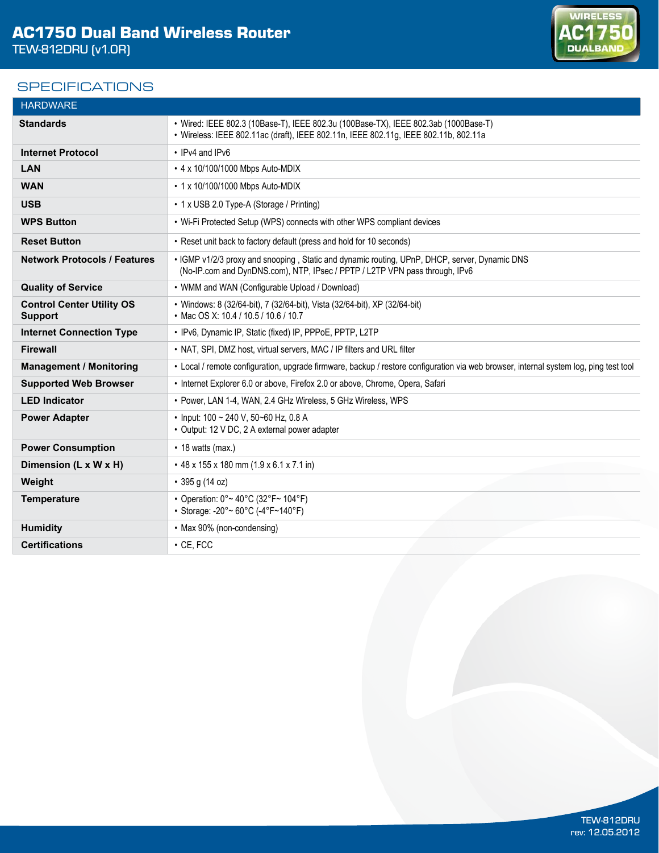## **SPECIFICATIONS**



| <b>HARDWARE</b>                                    |                                                                                                                                                                              |
|----------------------------------------------------|------------------------------------------------------------------------------------------------------------------------------------------------------------------------------|
| <b>Standards</b>                                   | • Wired: IEEE 802.3 (10Base-T), IEEE 802.3u (100Base-TX), IEEE 802.3ab (1000Base-T)<br>• Wireless: IEEE 802.11ac (draft), IEEE 802.11n, IEEE 802.11g, IEEE 802.11b, 802.11a  |
| <b>Internet Protocol</b>                           | • IPv4 and IPv6                                                                                                                                                              |
| LAN                                                | • 4 x 10/100/1000 Mbps Auto-MDIX                                                                                                                                             |
| <b>WAN</b>                                         | • 1 x 10/100/1000 Mbps Auto-MDIX                                                                                                                                             |
| <b>USB</b>                                         | • 1 x USB 2.0 Type-A (Storage / Printing)                                                                                                                                    |
| <b>WPS Button</b>                                  | • Wi-Fi Protected Setup (WPS) connects with other WPS compliant devices                                                                                                      |
| <b>Reset Button</b>                                | • Reset unit back to factory default (press and hold for 10 seconds)                                                                                                         |
| <b>Network Protocols / Features</b>                | • IGMP v1/2/3 proxy and snooping, Static and dynamic routing, UPnP, DHCP, server, Dynamic DNS<br>(No-IP.com and DynDNS.com), NTP, IPsec / PPTP / L2TP VPN pass through, IPv6 |
| <b>Quality of Service</b>                          | • WMM and WAN (Configurable Upload / Download)                                                                                                                               |
| <b>Control Center Utility OS</b><br><b>Support</b> | • Windows: 8 (32/64-bit), 7 (32/64-bit), Vista (32/64-bit), XP (32/64-bit)<br>• Mac OS X: 10.4 / 10.5 / 10.6 / 10.7                                                          |
| <b>Internet Connection Type</b>                    | • IPv6, Dynamic IP, Static (fixed) IP, PPPoE, PPTP, L2TP                                                                                                                     |
| <b>Firewall</b>                                    | • NAT, SPI, DMZ host, virtual servers, MAC / IP filters and URL filter                                                                                                       |
| <b>Management / Monitoring</b>                     | • Local / remote configuration, upgrade firmware, backup / restore configuration via web browser, internal system log, ping test tool                                        |
| <b>Supported Web Browser</b>                       | • Internet Explorer 6.0 or above, Firefox 2.0 or above, Chrome, Opera, Safari                                                                                                |
| <b>LED Indicator</b>                               | • Power, LAN 1-4, WAN, 2.4 GHz Wireless, 5 GHz Wireless, WPS                                                                                                                 |
| <b>Power Adapter</b>                               | • Input: 100 ~ 240 V, 50~60 Hz, 0.8 A<br>• Output: 12 V DC, 2 A external power adapter                                                                                       |
| <b>Power Consumption</b>                           | $\cdot$ 18 watts (max.)                                                                                                                                                      |
| Dimension (L x W x H)                              | • 48 x 155 x 180 mm (1.9 x 6.1 x 7.1 in)                                                                                                                                     |
| Weight                                             | $\cdot$ 395 g (14 oz)                                                                                                                                                        |
| <b>Temperature</b>                                 | • Operation: 0° ~ 40°C (32°F ~ 104°F)<br>• Storage: -20° ~ 60°C (-4°F~140°F)                                                                                                 |
| <b>Humidity</b>                                    | • Max 90% (non-condensing)                                                                                                                                                   |
| <b>Certifications</b>                              | $\cdot$ CE. FCC                                                                                                                                                              |